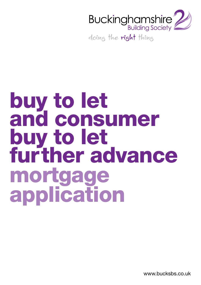

doing the right thing

# buy to let and consumer buy to let further advance mortgage application

www.bucksbs.co.uk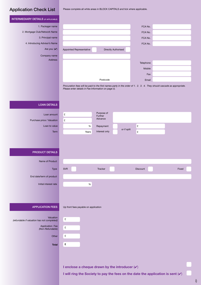# Application Check List

Please complete all white areas in BLOCK CAPITALS and tick where applicable.

| <b>INTERMEDIARY DETAILS (IF APPLICABLE)</b>                                                            |                                                                                                                                                                                |       |
|--------------------------------------------------------------------------------------------------------|--------------------------------------------------------------------------------------------------------------------------------------------------------------------------------|-------|
| 1. Packager name                                                                                       |                                                                                                                                                                                |       |
|                                                                                                        | FCA No.                                                                                                                                                                        |       |
| 2. Mortgage Club/Network Name                                                                          | FCA No.                                                                                                                                                                        |       |
| 3. Principal name                                                                                      | FCA No.                                                                                                                                                                        |       |
| 4. Introducing Advisor's Name                                                                          | FCA No.                                                                                                                                                                        |       |
| Are you: $(V)$                                                                                         | Appointed Representative<br>Directly Authorised                                                                                                                                |       |
| Company name<br>Address                                                                                |                                                                                                                                                                                |       |
|                                                                                                        | Telephone                                                                                                                                                                      |       |
|                                                                                                        | Mobile                                                                                                                                                                         |       |
|                                                                                                        | Fax                                                                                                                                                                            |       |
|                                                                                                        | Postcode<br>Email                                                                                                                                                              |       |
|                                                                                                        | Procuration fees will be paid to the first names party in the order of 1. 2. 3. 4. They should cascade as appropriate.<br>Please enter details in Fee Information on page ii). |       |
| <b>LOAN DETAILS</b>                                                                                    |                                                                                                                                                                                |       |
|                                                                                                        |                                                                                                                                                                                |       |
| Loan amount                                                                                            | Purpose of<br>£<br>Further                                                                                                                                                     |       |
| Purchase price / Valuation                                                                             | Advance<br>£                                                                                                                                                                   |       |
| Loan to value                                                                                          | £<br>$\%$<br>Repayment<br>or if split                                                                                                                                          |       |
| Term                                                                                                   | Interest only<br>£<br>Years                                                                                                                                                    |       |
| <b>PRODUCT DETAILS</b><br>Name of Product                                                              |                                                                                                                                                                                |       |
|                                                                                                        |                                                                                                                                                                                |       |
| Type                                                                                                   | Tracker<br><b>SVR</b><br><b>Discount</b>                                                                                                                                       | Fixed |
| End date/term of product                                                                               |                                                                                                                                                                                |       |
| Initial interest rate                                                                                  | $\%$                                                                                                                                                                           |       |
| <b>APPLICATION FEES</b><br>Valuation<br>(refundable if valuation has not completed)<br>Application Fee | Up front fees payable on application<br>$\pmb{\mathfrak{L}}$<br>£                                                                                                              |       |
| (Non-Refundable)                                                                                       |                                                                                                                                                                                |       |
| Other                                                                                                  | $\pmb{\mathfrak{L}}$                                                                                                                                                           |       |
|                                                                                                        | £                                                                                                                                                                              |       |
| <b>Total</b>                                                                                           |                                                                                                                                                                                |       |
|                                                                                                        | I enclose a cheque drawn by the introducer $(v)$                                                                                                                               |       |

**I** will ring the Society to pay the fees on the date the application is sent  $(V)$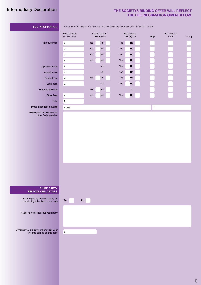# Intermediary Declaration

### **THE SOCIETYS BINDING OFFER WILL REFLECT THE FEE INFORMATION GIVEN BELOW.**

| FEE INFORMATION                                                                      | Please provide details of all parties who will be charging a fee. Give full details below. |     |                                  |                               |                      |                         |      |
|--------------------------------------------------------------------------------------|--------------------------------------------------------------------------------------------|-----|----------------------------------|-------------------------------|----------------------|-------------------------|------|
|                                                                                      | Fees payable<br>(as per KFI)                                                               |     | Added to loan<br>Yes $(\vee)$ No | Refundable<br>Yes $(\vee)$ No | App                  | Fee payable<br>$O$ ffer | Comp |
| Introducer fee                                                                       | $\pmb{\mathfrak{L}}$                                                                       | Yes | No                               | No<br>Yes                     |                      |                         |      |
|                                                                                      | $\pounds$                                                                                  | Yes | No                               | Yes<br>No                     |                      |                         |      |
|                                                                                      | £                                                                                          | Yes | <b>No</b>                        | No<br>Yes                     |                      |                         |      |
|                                                                                      | $\pounds$                                                                                  | Yes | No                               | No<br>Yes                     |                      |                         |      |
| Application fee                                                                      | $\mathbf f$                                                                                |     | No                               | No<br>Yes                     |                      |                         |      |
| Valuation fee                                                                        | $\pounds$                                                                                  |     | $\mathsf{No}$                    | Yes<br>No                     |                      |                         |      |
| Product Fee                                                                          | $\pounds$                                                                                  | Yes | <b>No</b>                        | Yes<br>$\mathsf{No}$          |                      |                         |      |
| Legal fees                                                                           | $\pounds$                                                                                  |     | $\mathsf{No}$                    | No<br>Yes                     |                      |                         |      |
| Funds release fee                                                                    |                                                                                            | Yes | No                               | No                            |                      |                         |      |
| Other fees                                                                           | $\pounds$                                                                                  | Yes | No                               | No<br>Yes                     |                      |                         |      |
| Total                                                                                | $\mathfrak k$                                                                              |     |                                  |                               |                      |                         |      |
| Procuration fees payable                                                             | Name                                                                                       |     |                                  |                               | $\pmb{\mathfrak{L}}$ |                         |      |
| Please provide details of all<br>other fee(s) payable                                |                                                                                            |     |                                  |                               |                      |                         |      |
|                                                                                      |                                                                                            |     |                                  |                               |                      |                         |      |
|                                                                                      |                                                                                            |     |                                  |                               |                      |                         |      |
|                                                                                      |                                                                                            |     |                                  |                               |                      |                         |      |
|                                                                                      |                                                                                            |     |                                  |                               |                      |                         |      |
|                                                                                      |                                                                                            |     |                                  |                               |                      |                         |      |
|                                                                                      |                                                                                            |     |                                  |                               |                      |                         |      |
|                                                                                      |                                                                                            |     |                                  |                               |                      |                         |      |
|                                                                                      |                                                                                            |     |                                  |                               |                      |                         |      |
|                                                                                      |                                                                                            |     |                                  |                               |                      |                         |      |
|                                                                                      |                                                                                            |     |                                  |                               |                      |                         |      |
|                                                                                      |                                                                                            |     |                                  |                               |                      |                         |      |
|                                                                                      |                                                                                            |     |                                  |                               |                      |                         |      |
|                                                                                      |                                                                                            |     |                                  |                               |                      |                         |      |
| <b>THIRD PARTY</b><br><b>INTRODUCER DETAILS</b>                                      |                                                                                            |     |                                  |                               |                      |                         |      |
|                                                                                      |                                                                                            |     |                                  |                               |                      |                         |      |
| Are you paying any third party for<br>introducing this client to you? $(\checkmark)$ | Yes                                                                                        | No  |                                  |                               |                      |                         |      |
|                                                                                      |                                                                                            |     |                                  |                               |                      |                         |      |
| If yes, name of individual/company                                                   |                                                                                            |     |                                  |                               |                      |                         |      |
|                                                                                      |                                                                                            |     |                                  |                               |                      |                         |      |
|                                                                                      |                                                                                            |     |                                  |                               |                      |                         |      |
|                                                                                      |                                                                                            |     |                                  |                               |                      |                         |      |
| Amount you are paying them from your<br>income earned on this case                   | £                                                                                          |     |                                  |                               |                      |                         |      |
|                                                                                      |                                                                                            |     |                                  |                               |                      |                         |      |
|                                                                                      |                                                                                            |     |                                  |                               |                      |                         |      |
|                                                                                      |                                                                                            |     |                                  |                               |                      |                         |      |
|                                                                                      |                                                                                            |     |                                  |                               |                      |                         |      |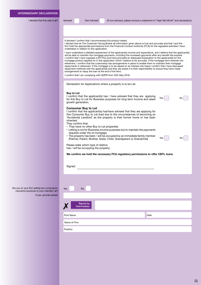I declare that this sale is  $(V)$ 

Advised Non Advised *(If non-advised, please enclose a statement of "High Net Worth" and declaration)*

Yes No

#### If advised I confirm that I recommended the product stated.

I declare that as The Customer Facing Broker all information given above is true and accurate and that I and the firm hold the appropriate permissions from the Financial Conduct Authority (FCA) for the regulated activities I have undertaken in relation to this application.

I have undertaken a detailed assessment of the applicant(s) income and expenditure, and I believe that the applicant(s) will be able to maintain the mortgage payments, including the increased payments after any benefit has expired. I confirm that I have supplied a KFI Plus and have provided an Adequate Explanation to the applicant(s) for the mortgage product applied for in this application which I believe to be accurate. If the mortgage term extends into retirement, I confirm that the customer(s) has arrangements in place to enable them to maintain their mortgage repayments in retirement. If the mortgage is to be repaid on an interest only basis I confirm that I have discussed repayment methods with the applicant(s) and they are aware it is their responsibility to ensure they have made arrangements to repay the loan at the end of the term.

I confirm that I am complying with GDPR from 25th May 2018.

Declaration for Applications where a property is to be Let:

#### **Buy to Let**

I confirm that the applicant(s) has / have advised that they are applying for this Buy to Let for Business purposes for long term income and asset growth generation. Yes

#### **Consumer Buy to Let**

I confirm that the applicant(s) has/have advised that they are applying for this Consumer Buy to Let load due to the circumstances of becoming an 'Accidental Landlord' as the property is their former home or has been inherited.

They confirm that:

- They have no other Buy to Let properties
- Letting is not for Business income purposes but to maintain the payments required under the re-mortgage
- The property has been / will be occupied by an immediate family member (Partner, Parent, Brother, Sister, Child, Grandparent or Grandchild)

Please state which type of relative has / will be occupying the property:

**We confirm we hold the necessary FCA regulatory permissions to offer CBTL loans**

| Signed: |  |  |
|---------|--|--|
|         |  |  |

Are you or your firm selling any compulsory insurance products to your client(s)?  $(v)$ If yes, provide details

| Yes               | <b>No</b>                 |
|-------------------|---------------------------|
|                   |                           |
| Y                 | Signed by<br>Intermediary |
| <b>Print Name</b> |                           |
|                   | Name of Firm              |
| Position          |                           |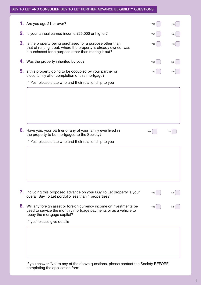#### BUY TO LET AND CONSUMER BUY TO LET FURTHER ADVANCE ELIGIBILITY QUESTIONS

|    | <b>1.</b> Are you age 21 or over?                                                                                                                                                     | Yes | No |
|----|---------------------------------------------------------------------------------------------------------------------------------------------------------------------------------------|-----|----|
|    | <b>2.</b> Is your annual earned income £25,000 or higher?                                                                                                                             | Yes | No |
| 3. | Is the property being purchased for a purpose other than<br>that of renting it out, where the property is already owned, was<br>it purchased for a purpose other than renting it out? | Yes | No |
|    | 4. Was the property inherited by you?                                                                                                                                                 | Yes | No |
|    | 5. Is this property going to be occupied by your partner or<br>close family after completion of this mortgage?                                                                        | Yes |    |
|    | If 'Yes' please state who and their relationship to you                                                                                                                               |     |    |
|    |                                                                                                                                                                                       |     |    |
|    | 6. Have you, your partner or any of your family ever lived in<br>the property to be mortgaged to the Society?                                                                         | Yes | No |
|    | If 'Yes' please state who and their relationship to you                                                                                                                               |     |    |
|    |                                                                                                                                                                                       |     |    |
|    | 7. Including this proposed advance on your Buy To Let property is your<br>overall Buy To Let portfolio less than 4 properties?                                                        | Yes | No |
| 8. | Will any foreign asset or foreign currency income or investments be<br>used to service the monthly mortgage payments or as a vehicle to<br>repay the mortgage capital?                | Yes | No |
|    | If 'yes' please give details                                                                                                                                                          |     |    |
|    |                                                                                                                                                                                       |     |    |
|    |                                                                                                                                                                                       |     |    |

If you answer 'No' to any of the above questions, please contact the Society BEFORE completing the application form.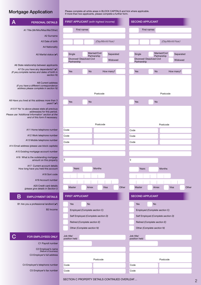## Mortgage Application

Please complete all white areas in BLOCK CAPITALS and tick where applicable. If more than two applicants, please complete a further form.

| <b>PERSONAL DETAILS</b>                                                                                                                                                | FIRST APPLICANT (with highest income)               | <b>SECOND APPLICANT</b>                             |
|------------------------------------------------------------------------------------------------------------------------------------------------------------------------|-----------------------------------------------------|-----------------------------------------------------|
| A1 Title (Mr/Mrs/Miss/Ms/Other)                                                                                                                                        | First names                                         | <b>First names</b>                                  |
| A2 Surname                                                                                                                                                             |                                                     |                                                     |
| A3 Date of birth                                                                                                                                                       | (Day/Month/Year)                                    | (Day/Month/Year)                                    |
| A4 Nationality                                                                                                                                                         |                                                     |                                                     |
| A5 Marital status $(V)$                                                                                                                                                | Married/Civil<br>Single<br>Separated                | Married/Civil<br>Single<br>Separated                |
|                                                                                                                                                                        | Partnership<br>Divorced/ Dissolved Civil<br>Widowed | Partnership<br>Divorced/ Dissolved Civil<br>Widowed |
| A6 State relationship between applicants                                                                                                                               | Partnership                                         | Partnership                                         |
| A7 Do you have any dependents? $(v)$                                                                                                                                   | <b>No</b><br>Yes<br>How many?                       | <b>No</b><br>Yes<br>How many?                       |
| (If yes, complete names and dates of birth in<br>section N)                                                                                                            |                                                     |                                                     |
| A8 Current address                                                                                                                                                     |                                                     |                                                     |
| (if you have a different correspondence<br>address please complete in section N)                                                                                       |                                                     |                                                     |
|                                                                                                                                                                        | Postcode                                            | Postcode                                            |
| A9 Have you lived at this address more than 3                                                                                                                          |                                                     |                                                     |
| years? $(V)$                                                                                                                                                           | Yes<br><b>No</b>                                    | Yes<br><b>No</b>                                    |
| A10 If 'No' to above please state all previous<br>address(es) for this period.<br>Please use 'Additional Information' section at the<br>end of this form if necessary. |                                                     |                                                     |
|                                                                                                                                                                        | Postcode                                            | Postcode                                            |
| A11 Home telephone number                                                                                                                                              | Code                                                |                                                     |
|                                                                                                                                                                        |                                                     | Code                                                |
| A12 Work telephone number<br>A13 Mobile telephone number                                                                                                               | Code                                                | Code                                                |
|                                                                                                                                                                        | Code                                                | Code                                                |
| A14 Email address (please use block capitals)                                                                                                                          |                                                     |                                                     |
| A15 Existing mortgage account number                                                                                                                                   |                                                     |                                                     |
| A16 What is the outstanding mortgage<br>amount on this property                                                                                                        | $\pmb{\mathfrak{L}}$                                | £                                                   |
| A17 Current account details<br>How long have you held this account                                                                                                     | Years<br>Months                                     | Years<br>Months                                     |
| A18 Sort code                                                                                                                                                          |                                                     |                                                     |
| A19 Account number                                                                                                                                                     |                                                     |                                                     |
| A20 Credit card details                                                                                                                                                |                                                     |                                                     |
| (please give details in Section I)                                                                                                                                     | Master<br>Visa<br>Other<br>Amex                     | Master<br>Visa<br>Other<br>Amex                     |
| Β<br><b>EMPLOYMENT DETAILS</b>                                                                                                                                         | <b>FIRST APPLICANT</b>                              | <b>SECOND APPLICANT</b>                             |
| B1 Are you a professional landlord $(V)$                                                                                                                               | <b>No</b><br>Yes                                    | No<br>Yes                                           |
| B <sub>2</sub> Income                                                                                                                                                  | Employed (Complete section C)                       | Employed (Complete section C)                       |
|                                                                                                                                                                        |                                                     |                                                     |
|                                                                                                                                                                        | Self Employed (Complete section D)                  | Self Employed (Complete section D)                  |
|                                                                                                                                                                        | Retired (Complete section E)                        | Retired (Complete section E)                        |
|                                                                                                                                                                        | Other (Complete section N)                          | Other (Complete section N)                          |
| FOR EMPLOYEES ONLY                                                                                                                                                     | Job title/<br>position held                         | Job title/<br>position held                         |
| C1 Payroll number                                                                                                                                                      |                                                     |                                                     |
| C2 Employer's name<br>(Nature of business)                                                                                                                             |                                                     |                                                     |
| C3 Employer's full address                                                                                                                                             |                                                     |                                                     |
|                                                                                                                                                                        |                                                     | Postcode                                            |
|                                                                                                                                                                        | Postcode                                            |                                                     |
| C4 Employer's telephone number                                                                                                                                         | Code                                                | Code                                                |

SECTION C PROPERTY DETAILS CONTINUED OVERLEAF…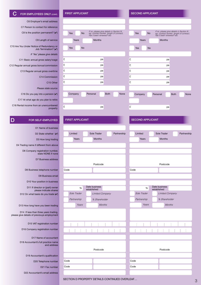#### FOR EMPLOYEES ONLY (CONT)

C6 Employer's email address

C7 Person to contact for reference

C8 Is the position permanent?  $(V)$ 

C9 Length of service

C10 Are You Under Notice of Redundancy or Job Termination? (v)

*If 'Yes' please give details*

C11 Basic annual gross salary/wage

C12 Regular annual gross bonus/commission

C13 Regular annual gross overtime

C14 Commission

C15 Other

*Please state source*

C16 Do you pay into a pension  $(V)$ 

C17 At what age do you plan to retire

C18 Rental income from an unencumbered property

#### D FOR SELF-EMPLOYED

D1 Name of business

D2 State whether  $(\vee)$ 

D3 How long trading

D4 Trading name if different from above

D6 Company registration number, state NONE if none

D7 Business address

D8 Business telephone number

D9 Business email

D10 Your position in business

D11 If director or (part) owner please indicate shares D12 On what basis do you trade  $(v)$ 

D13 How long have you been trading

D14 If less than three years trading, please give details of previouys employment

D15 VAT registration number

D16 Company registration number

D17 Name of accountant D18 Accountant's full practice name

and address

D19 Accountant's qualification

D20 Telephone number

D21 Fax number

D22 Accountant's email address

|   |                                                                         |  |          |               |                                                                                                                   |      |   | <b>SECOND APPLICANT</b> |       |           |          |                                                            |    |
|---|-------------------------------------------------------------------------|--|----------|---------------|-------------------------------------------------------------------------------------------------------------------|------|---|-------------------------|-------|-----------|----------|------------------------------------------------------------|----|
|   |                                                                         |  |          |               |                                                                                                                   |      |   |                         |       |           |          |                                                            |    |
|   |                                                                         |  |          |               |                                                                                                                   |      |   |                         |       |           |          |                                                            |    |
|   | <b>FIRST APPLICANT</b><br>Yes<br><b>No</b><br>Years<br>Yes<br><b>No</b> |  |          |               | If no, please give details in Section N.<br>eg. contract worker, length of contract,<br>has it been renewed? etc. |      |   | Yes                     |       | <b>No</b> |          | If no, please given<br>eg. contract wo<br>has it been rend |    |
|   |                                                                         |  |          | <b>Months</b> |                                                                                                                   |      |   |                         | Years |           |          | <b>Months</b>                                              |    |
|   |                                                                         |  |          |               |                                                                                                                   |      |   | Yes                     |       | <b>No</b> |          |                                                            |    |
|   |                                                                         |  |          |               |                                                                                                                   |      |   |                         |       |           |          |                                                            |    |
| £ |                                                                         |  |          | pa            |                                                                                                                   |      | £ |                         |       |           |          |                                                            | pa |
| £ |                                                                         |  |          | pa            |                                                                                                                   |      | £ |                         |       |           |          |                                                            | pa |
| £ |                                                                         |  |          | pa            |                                                                                                                   |      | £ |                         |       |           |          |                                                            | pa |
| £ |                                                                         |  |          | pa            |                                                                                                                   |      | £ |                         |       |           |          |                                                            | pa |
| £ |                                                                         |  |          | pa            |                                                                                                                   |      | £ |                         |       |           |          |                                                            | pa |
|   |                                                                         |  |          |               |                                                                                                                   |      |   |                         |       |           |          |                                                            |    |
|   | Company                                                                 |  | Personal |               | <b>Both</b>                                                                                                       | None |   | Company                 |       |           | Personal |                                                            |    |
|   |                                                                         |  |          |               |                                                                                                                   |      |   |                         |       |           |          |                                                            |    |
| £ |                                                                         |  |          | pa            |                                                                                                                   |      | £ |                         |       |           |          |                                                            | pa |

|      | Limited     |             | Sole Trader     | Partnership |      | Limited     | Sole Trader                  |
|------|-------------|-------------|-----------------|-------------|------|-------------|------------------------------|
|      | Years       |             | <b>Months</b>   |             |      | Years       | Months                       |
|      |             |             |                 |             |      |             |                              |
|      |             |             |                 |             |      |             |                              |
|      |             |             |                 |             |      |             |                              |
|      |             |             | Postcode        |             |      |             | Postcoo                      |
| Code |             |             |                 |             | Code |             |                              |
|      |             |             |                 |             |      |             |                              |
|      |             |             |                 |             |      |             |                              |
|      | %           | established | Date business   |             |      | %           | Date business<br>established |
|      | Sole Trader |             | Limited Company |             |      | Sole Trader | Limited C                    |
|      | Partnership |             | % Shareholder   |             |      | Partnership | % Share                      |
|      | Years       |             | <b>Months</b>   |             |      | Years       | M                            |
|      |             |             |                 |             |      |             |                              |
|      |             |             |                 |             |      |             |                              |



| Postcode |      |
|----------|------|
|          |      |
| Code     | Code |
| Code     | Code |
|          |      |

| Yes     | <b>No</b> |          |               | If no, please give details in Section N.<br>eg. contract worker, length of contract,<br>has it been renewed? etc. |      |   | Yes     |       | <b>No</b> |          |               |    | If no, please give details in Section N.<br>eg. contract worker, length of contract,<br>has it been renewed? etc. |      |
|---------|-----------|----------|---------------|-------------------------------------------------------------------------------------------------------------------|------|---|---------|-------|-----------|----------|---------------|----|-------------------------------------------------------------------------------------------------------------------|------|
| Years   |           |          | <b>Months</b> |                                                                                                                   |      |   |         | Years |           |          | <b>Months</b> |    |                                                                                                                   |      |
| Yes     | <b>No</b> |          |               |                                                                                                                   |      |   | Yes     |       | <b>No</b> |          |               |    |                                                                                                                   |      |
|         |           |          |               |                                                                                                                   |      |   |         |       |           |          |               |    |                                                                                                                   |      |
|         |           |          | pa            |                                                                                                                   |      | £ |         |       |           |          |               | pa |                                                                                                                   |      |
|         |           |          | pa            |                                                                                                                   |      | £ |         |       |           |          |               | pa |                                                                                                                   |      |
|         |           |          | pa            |                                                                                                                   |      | £ |         |       |           |          |               | pa |                                                                                                                   |      |
|         |           |          | pa            |                                                                                                                   |      | £ |         |       |           |          |               | pa |                                                                                                                   |      |
|         |           |          | pa            |                                                                                                                   |      | £ |         |       |           |          |               | pa |                                                                                                                   |      |
|         |           |          |               |                                                                                                                   |      |   |         |       |           |          |               |    |                                                                                                                   |      |
| Company |           | Personal |               | <b>Both</b>                                                                                                       | None |   | Company |       |           | Personal |               |    | <b>Both</b>                                                                                                       | None |
|         |           |          |               |                                                                                                                   |      |   |         |       |           |          |               |    |                                                                                                                   |      |
|         |           |          | pa            |                                                                                                                   |      | £ |         |       |           |          |               | pa |                                                                                                                   |      |
|         |           |          |               |                                                                                                                   |      |   |         |       |           |          |               |    |                                                                                                                   |      |

#### **FIRST APPLICANT SECOND APPLICANT**

| Limited     | Sole Trader                    | Partnership | Limited     |       | Sole Trader   |                 |  | Partnership |
|-------------|--------------------------------|-------------|-------------|-------|---------------|-----------------|--|-------------|
| Years       | <b>Months</b>                  |             | Years       |       |               | <b>Months</b>   |  |             |
|             |                                |             |             |       |               |                 |  |             |
|             |                                |             |             |       |               |                 |  |             |
|             |                                |             |             |       |               |                 |  |             |
|             |                                |             |             |       |               |                 |  |             |
|             | Postcode                       |             |             |       |               | Postcode        |  |             |
|             |                                |             | Code        |       |               |                 |  |             |
|             |                                |             |             |       |               |                 |  |             |
|             |                                |             |             |       |               |                 |  |             |
| $\%$        | Date business                  |             |             | $\%$  | Date business |                 |  |             |
| Sole Trader | established<br>Limited Company |             | Sole Trader |       | established   | Limited Company |  |             |
|             |                                |             |             |       |               |                 |  |             |
| Partnership | % Shareholder                  |             | Partnership |       |               | % Shareholder   |  |             |
| Years       | Months                         |             |             | Years |               | Months          |  |             |
|             |                                |             |             |       |               |                 |  |             |
|             |                                |             |             |       |               |                 |  |             |
|             |                                |             |             |       |               |                 |  |             |
|             |                                |             |             |       |               |                 |  |             |
|             |                                |             |             |       |               |                 |  |             |
|             |                                |             |             |       |               |                 |  |             |
|             |                                |             |             |       |               |                 |  |             |
|             | Postcode                       |             |             |       |               | Postcode        |  |             |
|             |                                |             |             |       |               |                 |  |             |
|             |                                |             | Code        |       |               |                 |  |             |
|             |                                |             |             |       |               |                 |  |             |
|             |                                |             | Code        |       |               |                 |  |             |

SECTION D PROPERTY DETAILS CONTINUED OVERLEAF…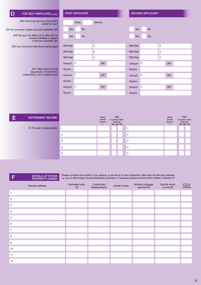| FOR SELF-EMPLOYED (CONT)                                                                                        |                | <b>FIRST APPLICANT</b> |                                 |                                                         | <b>SECOND APPLICANT</b> |           |                                 |                                                                |  |  |  |
|-----------------------------------------------------------------------------------------------------------------|----------------|------------------------|---------------------------------|---------------------------------------------------------|-------------------------|-----------|---------------------------------|----------------------------------------------------------------|--|--|--|
| D23 How long has your accountant<br>acted for you?                                                              |                | Years                  | <b>Months</b>                   |                                                         |                         |           |                                 |                                                                |  |  |  |
| D24 Do you have 3 years accounts available? (v)                                                                 | Yes            | <b>No</b>              |                                 |                                                         | Yes                     | <b>No</b> |                                 |                                                                |  |  |  |
| D25 Are your tax affairs up to date with no<br>overdue liabilities in relation<br>to all your activities? $(V)$ | Yes            | <b>No</b>              |                                 |                                                         | Yes                     | <b>No</b> |                                 |                                                                |  |  |  |
| D26 Your income for last three trading years                                                                    | Mth/Year       |                        | £                               |                                                         | Mth/Year                |           | £                               |                                                                |  |  |  |
|                                                                                                                 | Mth/Year       |                        | £                               |                                                         | Mth/Year                |           | £                               |                                                                |  |  |  |
|                                                                                                                 | Mth/Year       |                        | £                               |                                                         | Mth/Year                |           | £                               |                                                                |  |  |  |
|                                                                                                                 | Amount         | E                      | per                             |                                                         | Amount                  | £         | per                             |                                                                |  |  |  |
| D27 Other gross income<br>(eg pension, investments,                                                             | Source         |                        |                                 |                                                         | Source                  |           |                                 |                                                                |  |  |  |
| maintenance, rent, dividends etc)                                                                               | Amount         | E                      | per                             |                                                         | Amount                  | £         | per                             |                                                                |  |  |  |
|                                                                                                                 | Source         |                        |                                 |                                                         | Source                  |           |                                 |                                                                |  |  |  |
|                                                                                                                 | Amount         | £                      | per                             |                                                         | Amount                  | £         | per                             |                                                                |  |  |  |
|                                                                                                                 | Source         |                        |                                 |                                                         | Source                  |           |                                 |                                                                |  |  |  |
|                                                                                                                 |                |                        |                                 |                                                         |                         |           |                                 |                                                                |  |  |  |
|                                                                                                                 |                |                        |                                 |                                                         |                         |           |                                 |                                                                |  |  |  |
|                                                                                                                 |                |                        |                                 |                                                         |                         |           |                                 |                                                                |  |  |  |
| Ε<br><b>RETIREMENT INCOME</b>                                                                                   |                |                        | Gross<br>Annual<br>Pension<br>£ | P60<br>or pension letter<br>attached<br>Yes $(\vee)$ No |                         |           | Gross<br>Annual<br>Pension<br>£ | <b>P60</b><br>or pension letter<br>attached<br>Yes $(\vee)$ No |  |  |  |
| E1 Provider including state                                                                                     | $\overline{1}$ |                        |                                 |                                                         | $\mathbf{1}$            |           |                                 |                                                                |  |  |  |

**F** DETAILS OF OTHER PROPERTY OWNED

> Please complete this section if you already, or are about to own properties, other than the Security address, i.e. buy to lets/holiday homes/residential properties. If necessary please provide further details in Section N

| Property address | <b>Estimated value</b><br>(E) | Current loan<br>Outstanding (£) | Lender's name | Monthly mortgage<br>payment (£) | Monthly rental<br>income (£) | $\frac{\sqrt{2}}{\frac{1}{2}}$ if to be<br>repaid at<br>completion |
|------------------|-------------------------------|---------------------------------|---------------|---------------------------------|------------------------------|--------------------------------------------------------------------|
|                  |                               |                                 |               |                                 |                              |                                                                    |
| $\overline{c}$   |                               |                                 |               |                                 |                              |                                                                    |
| 3                |                               |                                 |               |                                 |                              |                                                                    |
| $\overline{4}$   |                               |                                 |               |                                 |                              |                                                                    |
| 5                |                               |                                 |               |                                 |                              |                                                                    |
| 6                |                               |                                 |               |                                 |                              |                                                                    |
| $\overline{7}$   |                               |                                 |               |                                 |                              |                                                                    |
| 8                |                               |                                 |               |                                 |                              |                                                                    |
| 9                |                               |                                 |               |                                 |                              |                                                                    |
| 10               |                               |                                 |               |                                 |                              |                                                                    |
| 11               |                               |                                 |               |                                 |                              |                                                                    |
| 12               |                               |                                 |               |                                 |                              |                                                                    |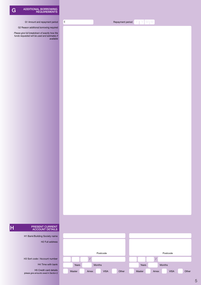- G1 Amount and repayment period
- G2 Reason additional borrowing required

*Please give full breakdown of exactly how the funds requested will be used and estimates if available*  $\mathbf{F}$  Repayment period  $\mathbb{Y} \restriction \mathbb{Y} \restriction \mathbb{M} \restriction \mathbb{M}$ 

# **H** PRESENT CURRENT ACCOUNT DETAILS

H1 Bank/Building Society name

H2 Full address

H3 Sort code / Account number

H4 Time with bank

H5 Credit card details *(please give amounts owed in Section I)*

|        |               | Postcode    |       |        |      | Postcode      |       |
|--------|---------------|-------------|-------|--------|------|---------------|-------|
|        |               |             |       |        |      |               |       |
| Years  | <b>Months</b> |             |       | Years  |      | <b>Months</b> |       |
| Master | Amex          | <b>VISA</b> | Other | Master | Amex | <b>VISA</b>   | Other |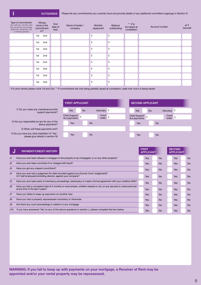**OUTGOINGS** Please list any commitments you currently have and provide details of any additional committed outgoings in Section N.

| Type of commitment<br>(eg. credit card, mail order, bank<br>loan, secured loan, hire purchase,<br>student loan, maintenance, CSA,<br>or childcare payments) |     | *Whose<br>name is the<br>commitment<br>in? | End<br>date of<br>loan | Name of lender /<br>company | Monthly<br>repayment | Balance<br>outstanding | $**$ if to<br>be repaid at<br>completion | Account number | $\mathbf{v}$ if<br>secured |
|-------------------------------------------------------------------------------------------------------------------------------------------------------------|-----|--------------------------------------------|------------------------|-----------------------------|----------------------|------------------------|------------------------------------------|----------------|----------------------------|
|                                                                                                                                                             | 1st | 2nd                                        |                        |                             | £                    | £                      |                                          |                |                            |
|                                                                                                                                                             | 1st | 2nd                                        |                        |                             | £                    | £                      |                                          |                |                            |
|                                                                                                                                                             | 1st | 2nd                                        |                        |                             | £                    | £                      |                                          |                |                            |
|                                                                                                                                                             | 1st | 2nd                                        |                        |                             | £                    | £                      |                                          |                |                            |
|                                                                                                                                                             | 1st | 2nd                                        |                        |                             | £                    | £                      |                                          |                |                            |
|                                                                                                                                                             | 1st | 2nd                                        |                        |                             | £                    | £                      |                                          |                |                            |
|                                                                                                                                                             | 1st | 2nd                                        |                        |                             | £                    | £                      |                                          |                |                            |
|                                                                                                                                                             | 1st | 2nd                                        |                        |                             | £                    | £                      |                                          |                |                            |

*\* If in joint names please circle 1st and 2nd. \*\* If commitments are only being partially repaid at completion, state how much is being repaid*

| <b>FIRST APPLICANT</b>                                    | <b>SECOND APPLICANT</b>                                   |
|-----------------------------------------------------------|-----------------------------------------------------------|
| Voluntary £                                               | Voluntary £                                               |
| Yes                                                       | <b>No</b>                                                 |
| <b>No</b>                                                 | <b>Yes</b>                                                |
| Court<br>Child Support<br>£<br>£<br>Act payments<br>order | Court<br>Child Support<br>Act payments<br>£<br>E<br>order |
| <b>Yes</b>                                                | Yes                                                       |
| <b>No</b>                                                 | <b>No</b>                                                 |
|                                                           |                                                           |
| <b>Yes</b>                                                | Yes                                                       |
| <b>No</b>                                                 | <b>No</b>                                                 |

FIRST

SECOND

I1 Do you make any maintenance/child support payments?

I2 Are you responsible by law for any of the above payments?

I3 When will these payments end?

I4 Do you have any other liabilities? (if 'Yes', please give details in section N)

#### J PAYMENT/CREDIT HISTORY

| u              | PATMENT/UREDIT FISTURT                                                                                                                                    | <b>APPLICANT</b> |           | <b>APPLICANT</b> |           |
|----------------|-----------------------------------------------------------------------------------------------------------------------------------------------------------|------------------|-----------|------------------|-----------|
| J1             | Have you ever been refused a mortgage on the property to be mortgaged, or on any other property?                                                          | <b>Yes</b>       | <b>No</b> | <b>Yes</b>       | <b>No</b> |
| J2             | Have you ever been convicted of or charged with fraud?                                                                                                    | <b>Yes</b>       | <b>No</b> | Yes              | <b>No</b> |
| J <sub>3</sub> | Have you got any unspent convictions?                                                                                                                     | Yes              | <b>No</b> | Yes              | No        |
| J <sub>4</sub> | Have you ever had a judgement for debt recorded against you (County Court Judgement)?<br>Or if self employed/controlling director, against your company?  | <b>Yes</b>       | <b>No</b> | Yes              | No        |
| J <sub>5</sub> | Have you ever been party to insolvency proceedings, bankruptcy or made a formal agreement with your creditors (IVA)?                                      | <b>Yes</b>       | <b>No</b> | <b>Yes</b>       | <b>No</b> |
| J <sub>6</sub> | Have you had a cumulative total of 3 months or more arrears, whether cleared or not, on any secured or unsecured loan<br>at any time in the last 2 years? | <b>Yes</b>       | <b>No</b> | <b>Yes</b>       | <b>No</b> |
| J7             | Have you failed to keep up payments on another loan                                                                                                       | <b>Yes</b>       | <b>No</b> | <b>Yes</b>       | <b>No</b> |
| 3 <sub>U</sub> | Have you had a property repossessed voluntarily or otherwise                                                                                              | <b>Yes</b>       | <b>No</b> | Yes              | <b>No</b> |
| J9             | Are there any court proceedings in relation to any mortgage                                                                                               | <b>Yes</b>       | <b>No</b> | Yes              | <b>No</b> |
| J10            | If you have answered 'Yes' to any of the above questions in section J, please complete the box below                                                      | <b>Yes</b>       | <b>No</b> | <b>Yes</b>       | <b>No</b> |
|                |                                                                                                                                                           |                  |           |                  |           |

**WARNING: If you fail to keep up with payments on your mortgage, a Receiver of Rent may be appointed and/or your rental property may be repossessed.**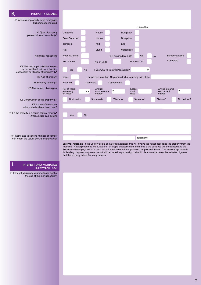#### K **PROPERTY DETAILS**

K1 Address of property to be mortgaged (full postcode required)

K2 Type of property (please tick one box only) (4)

K3 If flat / maisonette

K4 Was the property built or owned by the local authority or a housing association or Ministry of Defence? (v)

K5 Age of property

K6 Property tenure  $(V)$ 

K7 If leasehold, please give:

K8 Construction of the property  $(V)$ 

K9 If none of the above, what materials have been used?

K10 Is the property in a sound state of repair  $(v)$ *(If No, please give details)*

K11 Name and telephone number of contact with whom the valuer should arrange a visit

#### INTEREST ONLY MORTGAGE REPAYMENT PLAN

L1 How will you repay your mortgage debt at the end of the mortgage term?

|                                       |           |                                                                 |                                  |                        | Postcode      |   |                                         |                       |  |
|---------------------------------------|-----------|-----------------------------------------------------------------|----------------------------------|------------------------|---------------|---|-----------------------------------------|-----------------------|--|
| Detached                              |           | House                                                           |                                  | Bungalow               |               |   |                                         |                       |  |
| Semi Detached                         |           | House                                                           |                                  | <b>Bungalow</b>        |               |   |                                         |                       |  |
| Terraced                              |           | Mid                                                             | End                              |                        |               |   |                                         |                       |  |
| Flat                                  |           | Studio                                                          |                                  | Maisonette             |               |   |                                         |                       |  |
| Floor no. of flat                     |           |                                                                 | Is it serviced by a lift?        |                        | Yes           |   | <b>No</b>                               | <b>Balcony access</b> |  |
| No. of floors                         |           | No. of units                                                    |                                  |                        | Purpose built |   |                                         | Converted             |  |
| Yes                                   | <b>No</b> |                                                                 | If yes what % is owner/occupied? |                        |               | % |                                         |                       |  |
| Years                                 |           | If property is less than 10 years old what warranty is in place |                                  |                        |               |   |                                         |                       |  |
| Freehold                              |           | Leasehold                                                       | Commonhold                       |                        |               |   |                                         |                       |  |
| No. of years<br>remaining<br>on lease | yrs       | Annual<br>maintenance<br>charge                                 | £                                | Lease<br>start<br>date |               |   | Annual ground<br>rent or rent<br>charge | £                     |  |
| <b>Brick walls</b>                    |           | Stone walls                                                     | Tiled roof                       |                        | Slate roof    |   | Flat roof                               | Pitched roof          |  |
|                                       |           |                                                                 |                                  |                        |               |   |                                         |                       |  |
| Yes                                   | <b>No</b> |                                                                 |                                  |                        |               |   |                                         |                       |  |
|                                       |           |                                                                 |                                  |                        |               |   |                                         |                       |  |
|                                       |           |                                                                 |                                  |                        |               |   |                                         |                       |  |
|                                       |           |                                                                 |                                  |                        | Telephone     |   |                                         |                       |  |

**External Appraisal** If the Society seeks an external appraisal, this will involve the valuer assessing the property from the roadside. Not all properties are suitable for this type of assessment and if this is the case you will be advised and the Society will need payment of a basic valuation fee before the application can proceed further. The external appraisal is for lending purposes only so no report will be issued to you and you should place no reliance on the valuation figure or that the property is free from any defects.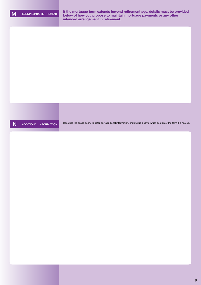M LENDING INTO RETIREMENT **If the mortgage term extends beyond retirement age, details must be provided below of how you propose to maintain mortgage payments or any other intended arrangement in retirement.** 

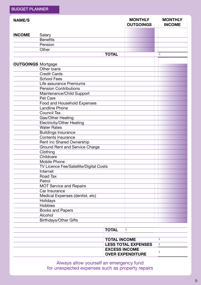| <b>NAME/S</b> |                                        |              | <b>MONTHLY</b><br><b>OUTGOINGS</b> | <b>MONTHLY</b><br><b>INCOME</b> |
|---------------|----------------------------------------|--------------|------------------------------------|---------------------------------|
| <b>INCOME</b> | Salary                                 |              |                                    |                                 |
|               | <b>Benefits</b>                        |              |                                    |                                 |
|               | Pension                                |              |                                    |                                 |
|               | Other                                  |              |                                    |                                 |
|               |                                        | <b>TOTAL</b> |                                    | £                               |
|               |                                        |              |                                    |                                 |
|               | <b>OUTGOINGS Mortgage</b>              |              |                                    |                                 |
|               | Other loans                            |              |                                    |                                 |
|               | <b>Credit Cards</b>                    |              |                                    |                                 |
|               | <b>School Fees</b>                     |              |                                    |                                 |
|               | Life assurance Premiums                |              |                                    |                                 |
|               | <b>Pension Contributions</b>           |              |                                    |                                 |
|               | Maintenance/Child Support              |              |                                    |                                 |
|               | Pet Care                               |              |                                    |                                 |
|               | Food and Household Expenses            |              |                                    |                                 |
|               | <b>Landline Phone</b>                  |              |                                    |                                 |
|               | <b>Council Tax</b>                     |              |                                    |                                 |
|               | Gas/Other Heating                      |              |                                    |                                 |
|               | <b>Electricity/Other Heating</b>       |              |                                    |                                 |
|               | <b>Water Rates</b>                     |              |                                    |                                 |
|               | <b>Buildings Insurance</b>             |              |                                    |                                 |
|               | <b>Contents Insurance</b>              |              |                                    |                                 |
|               | Rent inc Shared Ownership              |              |                                    |                                 |
|               | <b>Ground Rent and Service Charge</b>  |              |                                    |                                 |
|               | Clothing                               |              |                                    |                                 |
|               | Childcare                              |              |                                    |                                 |
|               | <b>Mobile Phone</b>                    |              |                                    |                                 |
|               | TV Licence Fee/Satellite/Digital Costs |              |                                    |                                 |
|               | Internet                               |              |                                    |                                 |
|               | Road Tax                               |              |                                    |                                 |
|               | Petrol                                 |              |                                    |                                 |
|               | <b>MOT Service and Repairs</b>         |              |                                    |                                 |
|               | Car Insurance                          |              |                                    |                                 |
|               | Medical Expenses (dentist, etc)        |              |                                    |                                 |
|               | Holidays                               |              |                                    |                                 |
|               | Hobbies                                |              |                                    |                                 |
|               | <b>Books and Papers</b>                |              |                                    |                                 |
|               | Alcohol                                |              |                                    |                                 |
|               | <b>Birthdays/Other Gifts</b>           |              |                                    |                                 |
|               |                                        |              |                                    |                                 |
|               |                                        | <b>TOTAL</b> | £                                  |                                 |
|               |                                        |              |                                    |                                 |

| <b>IOIAL</b>                                    |  |
|-------------------------------------------------|--|
| <b>TOTAL INCOME</b>                             |  |
| <b>LESS TOTAL EXPENSES</b>                      |  |
| <b>EXCESS INCOME</b><br><b>OVER EXPENDITURE</b> |  |

Always allow yourself an emergency fund for unexpected expenses such as property repairs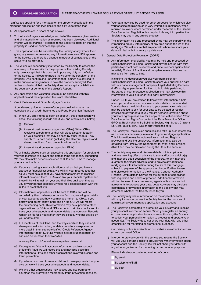I am/We are applying for a mortgage on the property described in this mortgage application and I/we declare and fully understand that:

- 1. All applicants are 21 years of age or over.
- 2. To the best of my/our knowledge and belief the answers given are true and all material information as required has been disclosed. Additional interest will be charged if it comes to the Society's attention that the property is used for commercial purposes.
- 3. This application can be cancelled by the Society at any time without giving any reason or revealing any information received if it appears to the Society that there is a change in my/our circumstances or the security to be provided.
- 4. The Valuer is independently instructed by the Society to assess the adequacy of the security for the purpose of the Building Society only. I/we accept that this does not impose any duty on the Valuer or the Society to indicate to me/us the value or the condition of the property. I/we confirm and understand that I am/we are advised to make our own arrangements to have the property surveyed. I/we further understand that the Society does not accept any liability for the accuracy or contents of the Valuer's Report.
- 5. Any application and valuation fees must be enclosed with this application and the application fee is not refundable.
- 6. Credit Reference and Other Mortgage Checks.

A condensed guide to the use of your personal information by ourselves and at Credit Reference and Fraud Prevention Agencies

- (a) When you apply to us to open an account, this organisation will check the following records about you and others (see ii below)
	- (i) Our own;
	- (ii) those at credit reference agencies (CRAs). When CRAs receive a search from us they will place a search footprint on your credit file that may be seen by other lenders. They supply to us both public (including the electoral register) and shared credit and fraud prevention information.
	- (iii) those at fraud prevention agencies (FPAs).

We will make checks such as; assessing this application for credit and verifying identities to prevent and detect crime and money laundering. We may also make periodic searches at CRAs and FPAs to manage your account with us.

- (b) If you are making a joint application or tell us that you have a spouse or financial associate, we will link your records together so you must be sure that you have their agreement to disclose information about them. CRAs also link your records together and these links will remain on your and their files until such time as you or your partner successfully files for a disassociation with the CRAs to break that link.
- (c) Information on applications will be sent to CRAs and will be recorded by them. Where you borrow from us, we will give details of your accounts and how you manage it/them to CRAs. If you borrow and do not repay in full and on time, CRAs will record the outstanding debt. This information may be supplied to other organisations by CRAs and FPAs to perform similar checks and to trace your whereabouts and recover debts that you owe. Records remain on file for 6 years after they are closed, whether settled by you or defaulted.
- (d) Full identities of the CRAs, and the ways in which they use and share personal information, as data controllers is explained in more detail in their separate leaflet "Credit Reference Agency Information Notice" (CRAIN) which is available upon request or can also be found on their websites

www.equifax.co.uk/crain & www.experian.co.uk/crain

- (e) If you give us false or inaccurate information and we suspect or identify fraud we will record this and may also pass this Information to FPAs and other organisations involved in crime and fraud prevention.
- (f) If you have borrowed from us and do not make payments that you owe us, we will trace your whereabouts and recover debts.
- (g) We and other organisations may access and use from other countries the information recorded by fraud prevention agencies.
- (h) Your data may also be used for other purposes for which you give your specific permission or, in very limited circumstances, when required by law or where permitted under the terms of the General Data Protection Regulation this may include any third parties the Society may use in any arrears process.
- (i). The information held and processed by us may be shared with the introducing broker/ intermediary at any time during the life of the mortgage. We will ensure that anyone with whom we share your data will deal with it in an appropriate way.
- 7. General Data Protection Regulation (GDPR)
	- (a) Any information provided by you may be held and processed by Buckinghamshire Building Society and may be shared with third parties to protect both ourselves and our customers against fraud, to satisfy Codes of Practice and compliance related issues that may arise from time to time.

 In signing the declaration you give your permission for Buckinghamshire Building Society to share your application data with our panel management company, Legal Marketing Services (LMS) and give permission for them to hold data pertaining to the status of your mortgage application and may disclose this information to your broker or third party intermediary.

 Under GDPR you are entitled to know what information is held about you and to ask for any inaccurate details to be amended. You also have the right of access to your personal records and may be entitled to ask for your data to be deleted or restrict processing of your data. If you require further information about your Data rights please ask for a copy of our leaflet entitled "Your Data Protection Rights" or contact the Data Protection Officer (DPO) at Buckinghamshire Building Society, High Street, Chalfont St. Giles, Bucks. HPB 4QB or dpo@bucksbs.co.uk

- (b) The Society will make such enquiries and take up such references as it considers necessary in relation to your mortgage application. This information may be obtained from the Land Registry, previous and existing employers. Information may also be obtained from HMRC, the Department for Work and Pensions (DWP) and may be disclosed during the life of the account.
- (c) The Society may use and disclose details of this application and any resulting offer of advance to you and/or our solicitor(s) and intended adult occupiers of the property, to any intended guarantor, their legal advisers, and to provide any additional mortgagees with information during the life of this mortgage subject to payment of the appropriate charge. Further, to use and disclose information to the Financial Conduct Authority, Financial Ombudsman Service for the purpose of compliance with regulation and codes of practice. Additional information will be disclosed to our processing agents with whom we hold agreements to process your data. Legal Advisers may disclose confidential or privileged information to the Society that may determine whether the Society lends to you.
- (d) The Society may share Information on the application form with any insurance partner the Society has for the purpose of administering your mortgage application and account.
- (e) The Society is committed to protecting your privacy and keeping your personal information secure. When you register an enquiry, or complete an application form you are authorising the Society to collect your personal information to process and operate your account(s). The Society does not share your data with any other organisation for marketing or promotional purposes.

 Our privacy notice is available on our website www.bucksbs.co.uk or from our Head Office.

In order to provide you with the service you require the Society will use your contact details to provide you with information about your account and the Society. We will not share your data with any other organisation for marketing or promotional purposes.

Please indicate your preferred method of contact

- By email
- By telephone/SMS
- By post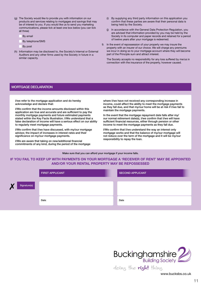- (g) The Society would like to provide you with information on our products and services relating to mortgages and savings that may be of interest to you. If you would like us to send you marketing communications, please tick at least one box below (you can tick all three)
	- By email
	- By telephone/SMS
	- By post
- (h) Information may be disclosed to, the Society's Internal or External Auditors and any other firms used by the Society in future in a similar capacity.
- (i) By supplying any third party information on this application you confirm that these parties are aware that their personal data is being held by the Society.
- (j) In accordance with the General Data Protection Regulation, you are advised that information provided by you may be held by the Society in its computer and paper records and retained for a period of twelve years after your mortgage is redeemed.
- 9. In the event of repossession of your property we may insure the property with an insurer of our choice. We will charge any premiums we incur in doing so to your mortgage account where they will become part of the Principle sum and attract interest.

The Society accepts no responsibility for any loss suffered by me/us in connection with the insurance of the property, however caused.

#### MORTGAGE DECLARATION

I/we refer to the mortgage application and do hereby acknowledge and declare that:

I/We confirm that the income amounts disclosed within this application are true and accurate and are sufficient to pay the monthly mortgage payments and future estimated payments stated within the Key Facts Illustration. I/We understand that a false declaration of income will have a serious effect on our ability to regularly meet mortgage payments.

I/We confirm that I/we have discussed, with my/our mortgage advisor, the impact of increases in interest rates and their significance on my/our mortgage payments.

I/We are aware that taking on new/additional financial commitments of any kind, during the period of the mortgage where I/we have not received any corresponding increase in income, could affect the ability to meet the mortgage payments as they fall due, and that my/our home will be at risk if I/we fail to maintain the mortgage payments.

In the event that the mortgage repayment date falls after my/ our normal retirement date(s), I/we confirm that I/we will have sufficient financial resources, either through pension or other income to meet the mortgage payments as they fall due.

I/We confirm that I/we understand the way an interest only mortgage works and that the balance of my/our mortgage will not reduce over the term of the mortgage and it will be my/our responsibility to repay the loan.

Make sure that you can afford your mortgage if your income falls.

#### **IF YOU FAIL TO KEEP UP WITH PAYMENTS ON YOUR MORTGAGE A 'RECEIVER OF RENT' MAY BE APPOINTED AND/OR YOUR RENTAL PROPERTY MAY BE REPOSSESSED**

|                   | <b>FIRST APPLICANT</b> | SECOND APPLICANT |
|-------------------|------------------------|------------------|
| X<br>Signature(s) |                        |                  |
|                   | Date                   | Date             |



www.bucksbs.co.uk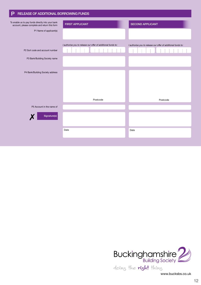| P<br>RELEASE OF ADDITIONAL BORROWING FUNDS                                                         |                                                              |                                                              |
|----------------------------------------------------------------------------------------------------|--------------------------------------------------------------|--------------------------------------------------------------|
| To enable us to pay funds directly into your bank<br>account, please complete and return this form | <b>FIRST APPLICANT</b>                                       | <b>SECOND APPLICANT</b>                                      |
| P1 Name of applicant(s)                                                                            |                                                              |                                                              |
|                                                                                                    | I authorise you to release our offer of additional funds to: | I authorise you to release our offer of additional funds to: |
| P2 Sort code and account number                                                                    |                                                              |                                                              |
| P3 Bank/Building Society name                                                                      |                                                              |                                                              |
| P4 Bank/Building Society address                                                                   |                                                              |                                                              |
|                                                                                                    | Postcode                                                     | Postcode                                                     |
| P5 Account in the name of                                                                          |                                                              |                                                              |
| Signature(s)                                                                                       |                                                              |                                                              |
|                                                                                                    | Date                                                         | Date                                                         |
|                                                                                                    |                                                              |                                                              |

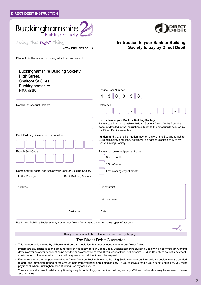



**Instruction to your Bank or Building** 

**Society to pay by Direct Debit**

www.bucksbs.co.uk

Please fill in the whole form using a ball pen and send it to:

Buckinghamshire Building Society High Street, Chalfont St Giles, Buckinghamshire HP8 4QB



Name(s) of Account Holders Reference

Bank/Building Society account number



Name and full postal address of your Bank or Building Society

| To the Manager | <b>Bank/Building Society</b> |              |
|----------------|------------------------------|--------------|
| Address        |                              | Signature(s) |
|                |                              | Print name   |
|                | Postcode                     | Date         |
|                |                              |              |



#### **Instruction to your Bank or Building Society**

Please pay Buckinghamshire Building Society Direct Debits from the account detailed in the instruction subject to the safeguards assured by the Direct Debit Guarantee.

I understand that this instruction may remain with the Buckinghamshire Building Society and, if so, details will be passed electronically to my Bank/Building Society

Please tick preferred payment date

| 6th of month |  |
|--------------|--|
|--------------|--|

26th of month

Last working day of month

| Signature(s) |  |
|--------------|--|
|              |  |

Print name(s)

Banks and Building Societies may not accept Direct Debit Instructions for some types of account



This guarantee should be detached and retained by the payee

#### The Direct Debit Guarantee

- This Guarantee is offered by all banks and building societies that accept instructions to pay Direct Debits.
- If there are any changes to the amount, date or frequency of your Direct Debit, Buckinghamshire Building Society will notify you ten working days in advance of your account being debited or as otherwise agreed. If you request Buckinghamshire Building Society to collect a payment, confirmation of the amount and date will be given to you at the time of the request.
- If an error is made in the payment of your Direct Debit by Buckinghamshire Building Society or your bank or building society you are entitled to a full and immediate refund of the amount paid from you bank or building society – if you receive a refund you are not entitled to, you must pay it back when Buckinghamshire Building Society asks you to.
- You can cancel a Direct Debit at any time by simply contacting your bank or building society. Written confirmation may be required. Please also notify us.